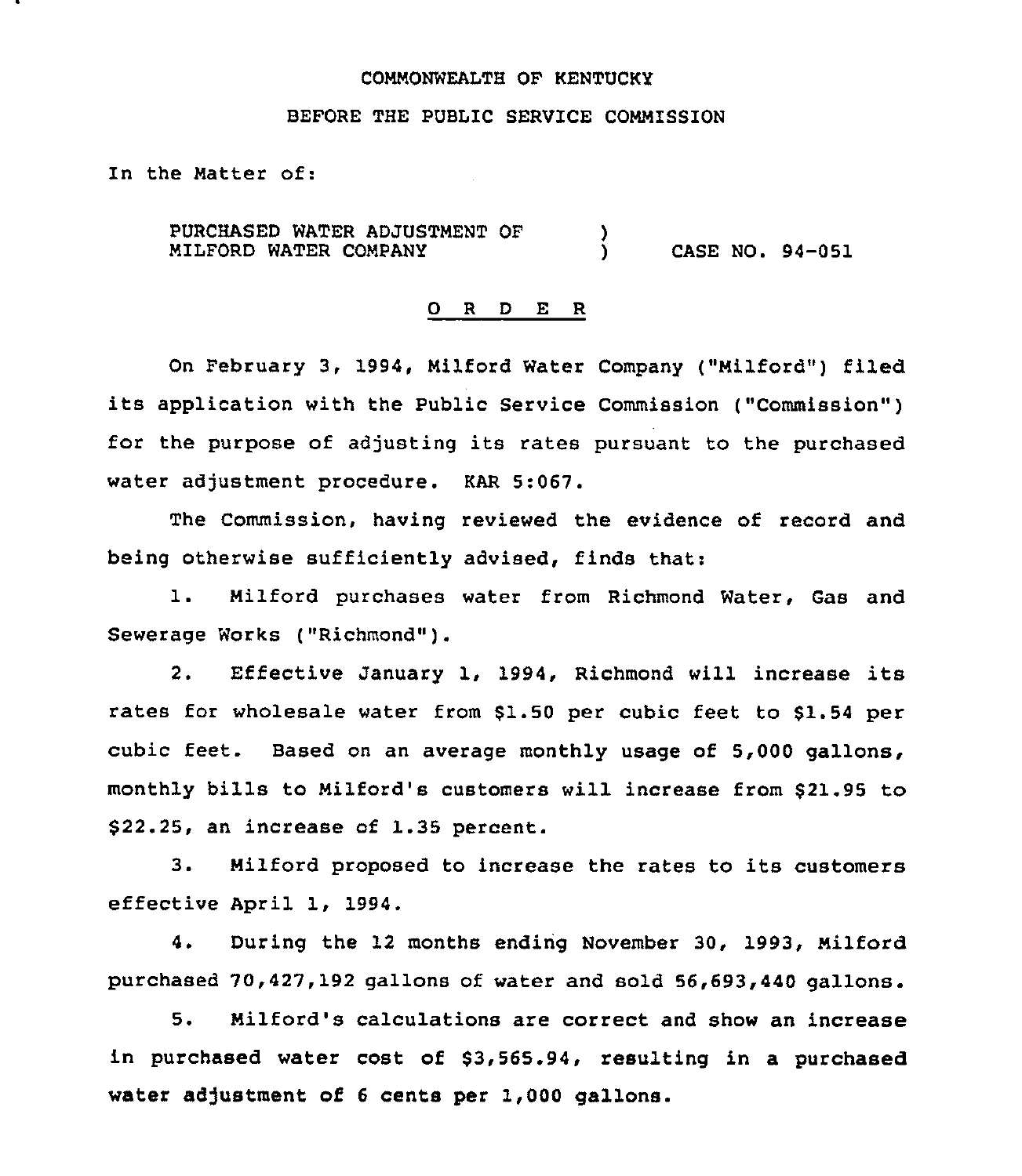### COMMONWEALTH OF KENTUCKY

# BEFORE THE PUBLIC SERVICE COMMISSION

In the Matter of:

PURCHASED WATER ADJUSTMENT OF NILFORD WATER COMPANY )<br>) ) CASE NO. 94-051

### 0 <sup>R</sup> <sup>D</sup> E R

On February 3, 1994, Nilford Water Company ("Nilford") filed its application with the Public Service Commission ("Commission" ) for the purpose of adjusting its rates pursuant to the purchased water adjustment procedure. KAR 5:067.

The Commission, having reviewed the evidence of record and being otherwise sufficiently advised, finds that:

l. Nilford purchases water from Richmond Water, Gas and Sewerage Works ("Richmond" ).

2. Effective January 1, 1994, Richmond will increase its rates for wholesale water from \$1.50 per cubic feet to \$1.54 per cubic feet. Based on an average monthly usage of 5,000 gallons, monthly bills to Nilford's customers will increase from \$21.95 to \$ 22.25, an increase of 1.35 percent.

3. Milford proposed to increase the rates to its customers effective April 1, 1994.

4. During the 12 months ending November 30, 1993, Milford purchased 70,427,192 gallons of water and sold 56,693,440 gallons.

5. Milford's calculations are correct and show an increase in purchased water cost of \$3,565.94, resulting in a purchased water adjustment of 6 cents per 1,000 gallons.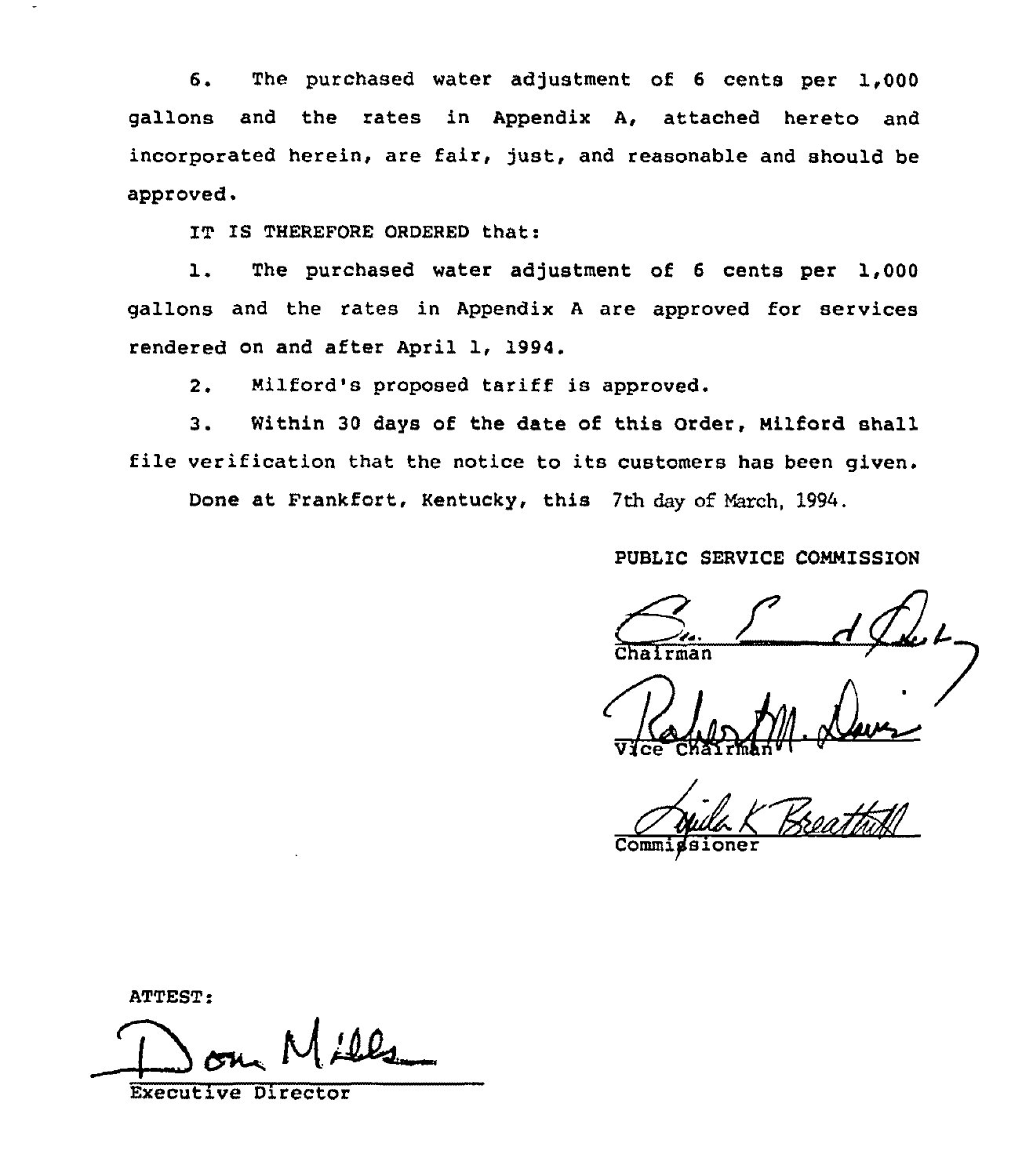6. The purchased water adjustment of <sup>6</sup> cents per 1,000 gallons and the rates in Appendix A, attached hereto and incorporated herein, are fair, just, and reasonable and should be approved.

IT IS THEREFORE ORDERED that:

1. The purchased water adjustment of <sup>6</sup> cents per 1,000 gallons and the rates in Appendix <sup>A</sup> are approved for services rendered on and after April 1, 1994.

2. Nilford's proposed tariff is approved.

3. Within 30 days of the date of this Order, Milford shall file verification that the notice to its customers has been given.

Done at Frankfort, Kentucky, this 7th day of March, 1994.

PUBLIC SERVICE CONNISSION

Vlce Chairman" I

Commigsione

ATTEST:

 $'$  tom Mill

Executive Director